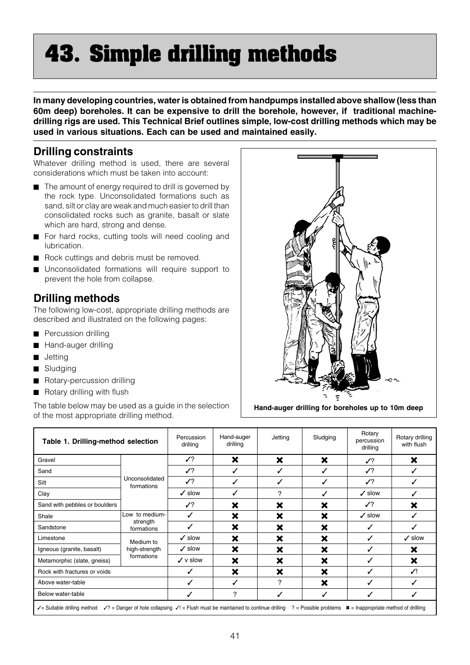# **43. Simple drilling methods**

**In many developing countries, water is obtained from handpumps installed above shallow (less than 60m deep) boreholes. It can be expensive to drill the borehole, however, if traditional machinedrilling rigs are used. This Technical Brief outlines simple, low-cost drilling methods which may be used in various situations. Each can be used and maintained easily.**

# **Drilling constraints**

Whatever drilling method is used, there are several considerations which must be taken into account:

- $\blacksquare$  The amount of energy required to drill is governed by the rock type. Unconsolidated formations such as sand, silt or clay are weak and much easier to drill than consolidated rocks such as granite, basalt or slate which are hard, strong and dense.
- For hard rocks, cutting tools will need cooling and lubrication.
- Rock cuttings and debris must be removed.
- **Unconsolidated formations will require support to** prevent the hole from collapse.

# **Drilling methods**

The following low-cost, appropriate drilling methods are described and illustrated on the following pages:

- **Percussion drilling**
- Hand-auger drilling
- **D** Jetting
- Sludging
- Rotary-percussion drilling
- Rotary drilling with flush

The table below may be used as a guide in the selection of the most appropriate drilling method.



**Hand-auger drilling for boreholes up to 10m deep**

| Table 1. Drilling-method selection |                                          | Percussion<br>drilling | Hand-auger<br>drilling    | Jetting | Sludging | Rotary<br>percussion<br>drilling | Rotary drilling<br>with flush |
|------------------------------------|------------------------------------------|------------------------|---------------------------|---------|----------|----------------------------------|-------------------------------|
| Gravel                             | Unconsolidated<br>formations             | $\mathcal{S}$          | ×                         | ×       | ×        | $\mathcal{N}$                    | $\boldsymbol{\mathsf{x}}$     |
| Sand                               |                                          | $\mathcal{S}$          | J                         | J       | ✓        | $\mathcal{S}$                    | ✓                             |
| Silt                               |                                          | $\mathcal{S}$          |                           |         |          | $\mathcal{N}$                    |                               |
| Clay                               |                                          | $\checkmark$ slow      | ℐ                         | ?       |          | $\checkmark$ slow                |                               |
| Sand with pebbles or boulders      |                                          | $\mathcal{S}$          | ×                         | ×       | ×        | $\mathcal{S}$                    | ×                             |
| Shale                              | Low to medium-<br>strength<br>formations |                        | ×                         | ×       | ×        | $\checkmark$ slow                |                               |
| Sandstone                          |                                          |                        | ×                         | ×       | ×        | ✓                                | ✓                             |
| Limestone                          | Medium to<br>high-strength<br>formations | $\checkmark$ slow      | ×                         | ×       | ×        | ✓                                | $\checkmark$ slow             |
| Igneous (granite, basalt)          |                                          | $\checkmark$ slow      | ×                         | ×       | ×        | ✓                                | ×                             |
| Metamorphic (slate, gneiss)        |                                          | $\checkmark$ v slow    | ×                         | ×       | ×        | ✓                                | ×                             |
| Rock with fractures or voids       |                                          |                        | $\boldsymbol{\mathsf{x}}$ | ×       | ×        | ✓                                | $\sqrt{ }$                    |
| Above water-table                  |                                          |                        | $\checkmark$              | ?       | ×        | ✓                                | ✓                             |
| Below water-table                  |                                          | ✓                      | ?                         | ✓       | ✓        | ✓                                | ✓                             |

✓= Suitable drilling method ✓? = Danger of hole collapsing ✓! = Flush must be maintained to continue drilling ? = Possible problems ✖ = Inappropriate method of drillling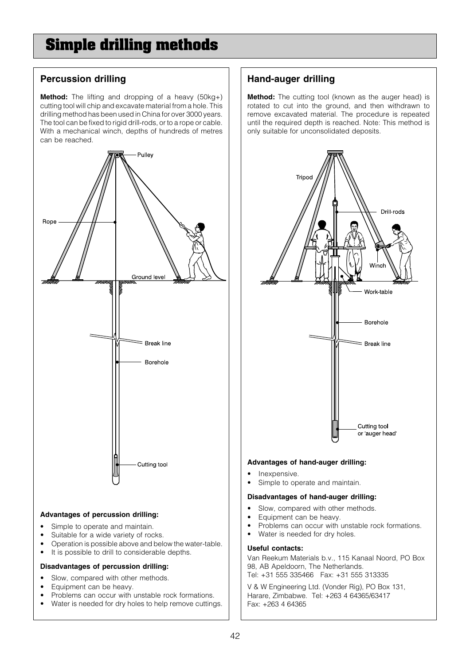# **Simple drilling methods**

**Method:** The lifting and dropping of a heavy (50kg+) cutting tool will chip and excavate material from a hole. This drilling method has been used in China for over 3000 years. The tool can be fixed to rigid drill-rods, or to a rope or cable. With a mechanical winch, depths of hundreds of metres can be reached.



### **Advantages of percussion drilling:**

- Simple to operate and maintain.
- Suitable for a wide variety of rocks.
- Operation is possible above and below the water-table.
- It is possible to drill to considerable depths.

## **Disadvantages of percussion drilling:**

- Slow, compared with other methods.
- Equipment can be heavy.
- Problems can occur with unstable rock formations.
- Water is needed for dry holes to help remove cuttings.

# **Percussion drilling Hand-auger drilling**

**Method:** The cutting tool (known as the auger head) is rotated to cut into the ground, and then withdrawn to remove excavated material. The procedure is repeated until the required depth is reached. Note: This method is only suitable for unconsolidated deposits.



#### **Advantages of hand-auger drilling:**

- Inexpensive.
- Simple to operate and maintain.

#### **Disadvantages of hand-auger drilling:**

- Slow, compared with other methods.
- Equipment can be heavy.
- Problems can occur with unstable rock formations.
- Water is needed for dry holes.

#### **Useful contacts:**

Van Reekum Materials b.v., 115 Kanaal Noord, PO Box 98, AB Apeldoorn, The Netherlands. Tel: +31 555 335466 Fax: +31 555 313335

V & W Engineering Ltd. (Vonder Rig), PO Box 131, Harare, Zimbabwe. Tel: +263 4 64365/63417 Fax: +263 4 64365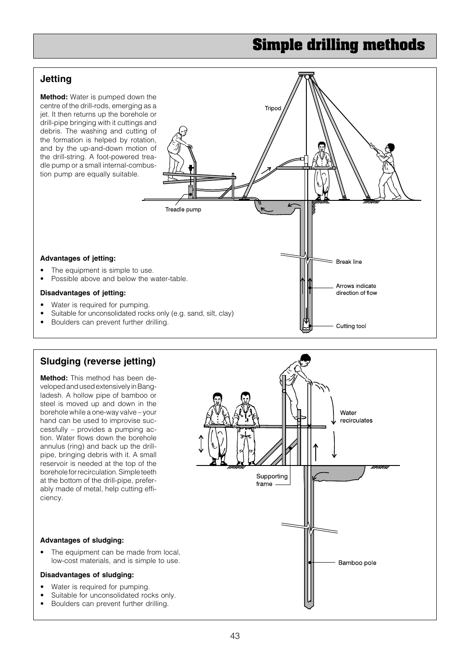# **Simple drilling methods**

## **Jetting**

**Method:** Water is pumped down the centre of the drill-rods, emerging as a jet. It then returns up the borehole or drill-pipe bringing with it cuttings and debris. The washing and cutting of the formation is helped by rotation, and by the up-and-down motion of the drill-string. A foot-powered treadle pump or a small internal-combustion pump are equally suitable.



# **Sludging (reverse jetting)**

**Method:** This method has been developed and used extensively in Bangladesh. A hollow pipe of bamboo or steel is moved up and down in the borehole while a one-way valve – your hand can be used to improvise successfully – provides a pumping action. Water flows down the borehole annulus (ring) and back up the drillpipe, bringing debris with it. A small reservoir is needed at the top of the borehole for recirculation. Simple teeth at the bottom of the drill-pipe, preferably made of metal, help cutting efficiency.

# Water recirculates Supporting  $frame$ Bamboo pole

#### **Advantages of sludging:**

• The equipment can be made from local. low-cost materials, and is simple to use.

## **Disadvantages of sludging:**

- Water is required for pumping.
- Suitable for unconsolidated rocks only.
- Boulders can prevent further drilling.